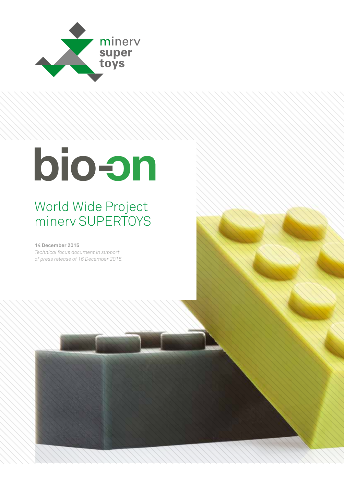

## World Wide Project minerv SUPERTOYS

**14 December 2015**

*Technical focus document in support of press release of 16 December 2015.*

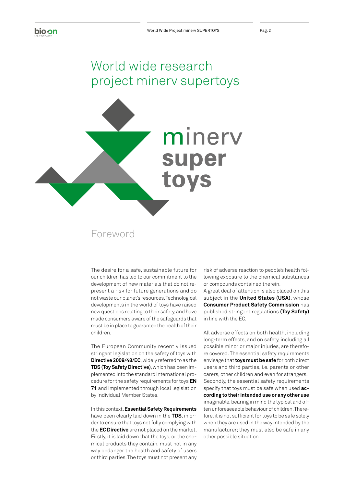## World wide research project minerv supertoys



## Foreword

The desire for a safe, sustainable future for our children has led to our commitment to the development of new materials that do not represent a risk for future generations and do not waste our planet's resources. Technological developments in the world of toys have raised new questions relating to their safety, and have made consumers aware of the safeguards that must be in place to guarantee the health of their children.

The European Community recently issued stringent legislation on the safety of toys with **Directive 2009/48/EC**, widely referred to as the **TDS (Toy Safety Directive)**, which has been implemented into the standard international procedure for the safety requirements for toys **EN 71** and implemented through local legislation by individual Member States.

In this context, **Essential Safety Requirements** have been clearly laid down in the **TDS**, in order to ensure that toys not fully complying with the **EC Directive** are not placed on the market. Firstly, it is laid down that the toys, or the chemical products they contain, must not in any way endanger the health and safety of users or third parties. The toys must not present any

risk of adverse reaction to people's health following exposure to the chemical substances or compounds contained therein.

A great deal of attention is also placed on this subject in the **United States (USA)**, whose **Consumer Product Safety Commission** has published stringent regulations **(Toy Safety)** in line with the EC.

All adverse effects on both health, including long-term effects, and on safety, including all possible minor or major injuries, are therefore covered. The essential safety requirements envisage that **toys must be safe** for both direct users and third parties, i.e. parents or other carers, other children and even for strangers. Secondly, the essential safety requirements specify that toys must be safe when used **according to their intended use or any other use**  imaginable, bearing in mind the typical and often unforeseeable behaviour of children. Therefore, it is not sufficient for toys to be safe solely when they are used in the way intended by the manufacturer; they must also be safe in any other possible situation.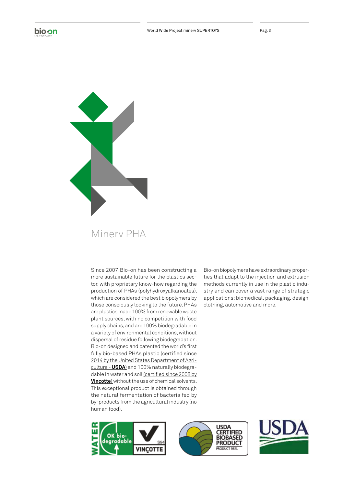



## Minerv PHA

Since 2007, Bio-on has been constructing a more sustainable future for the plastics sector, with proprietary know-how regarding the production of PHAs (polyhydroxyalkanoates), which are considered the best biopolymers by those consciously looking to the future. PHAs are plastics made 100% from renewable waste plant sources, with no competition with food supply chains, and are 100% biodegradable in a variety of environmental conditions, without dispersal of residue following biodegradation. Bio-on designed and patented the world's first fully bio-based PHAs plastic (certified since 2014 by the United States Department of Agriculture - **USDA**) and 100% naturally biodegradable in water and soil (certified since 2008 by **Vinçotte**) without the use of chemical solvents. This exceptional product is obtained through the natural fermentation of bacteria fed by by-products from the agricultural industry (no human food).

Bio-on biopolymers have extraordinary properties that adapt to the injection and extrusion methods currently in use in the plastic industry and can cover a vast range of strategic applications: biomedical, packaging, design, clothing, automotive and more.





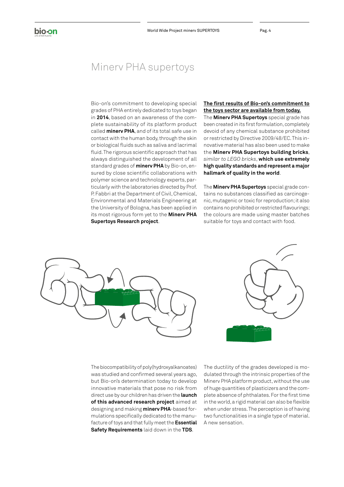## Minerv PHA supertoys

Bio-on's commitment to developing special grades of PHA entirely dedicated to toys began in **2014**, based on an awareness of the complete sustainability of its platform product called **minerv PHA**, and of its total safe use in contact with the human body, through the skin or biological fluids such as saliva and lacrimal fluid. The rigorous scientific approach that has always distinguished the development of all standard grades of **minerv PHA** by Bio-on, ensured by close scientific collaborations with polymer science and technology experts, particularly with the laboratories directed by Prof. P. Fabbri at the Department of Civil, Chemical, Environmental and Materials Engineering at the University of Bologna, has been applied in its most rigorous form yet to the **Minerv PHA Supertoys Research project**.

### **The first results of Bio-on's commitment to the toys sector are available from today.**

The **Minerv PHA Supertoys** special grade has been created in its first formulation, completely devoid of any chemical substance prohibited or restricted by Directive 2009/48/EC. This innovative material has also been used to make the **Minerv PHA Supertoys building bricks**, *similar to LEGO bricks*, **which use extremely high quality standards and represent a major hallmark of quality in the world**.

The **Minerv PHA Supertoys** special grade contains no substances classified as carcinogenic, mutagenic or toxic for reproduction; it also contains no prohibited or restricted flavourings; the colours are made using master batches suitable for toys and contact with food.





The biocompatibility of poly(hydroxyalkanoates) was studied and confirmed several years ago, but Bio-on's determination today to develop innovative materials that pose no risk from direct use by our children has driven the **launch of this advanced research project** aimed at designing and making **minerv PHA**-based formulations specifically dedicated to the manufacture of toys and that fully meet the **Essential Safety Requirements** laid down in the **TDS**.

The ductility of the grades developed is modulated through the intrinsic properties of the Minerv PHA platform product, without the use of huge quantities of plasticizers and the complete absence of phthalates. For the first time in the world, a rigid material can also be flexible when under stress. The perception is of having two functionalities in a single type of material. A new sensation.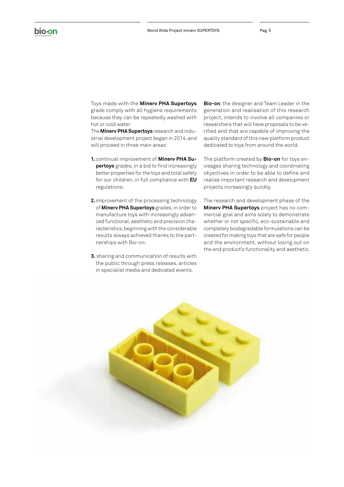Toys made with the **Minerv PHA Supertoys** grade comply with all hygiene requirements because they can be repeatedly washed with hot or cold water.

The **Minerv PHA Supertoys** research and industrial development project began in 2014, and will proceed in three main areas:

- **1.** continual improvement of **Minerv PHA Supertoys** grades, in a bid to find increasingly better properties for the toys and total safety for our children, in full compliance with **EU** regulations;
- **2.**improvement of the processing technology of **Minerv PHA Supertoys** grades, in order to manufacture toys with increasingly advanced functional, aesthetic and precision characteristics, beginning with the considerable results always achieved thanks to the partnerships with Bio-on;
- **3.** sharing and communication of results with the public through press releases, articles in specialist media and dedicated events.

**Bio-on**, the designer and Team Leader in the generation and realisation of this research project, intends to involve all companies or researchers that will have proposals to be verified and that are capable of improving the quality standard of this new platform product dedicated to toys from around the world.

The platform created by **Bio-on** for toys envisages sharing technology and coordinating objectives in order to be able to define and realise important research and development projects increasingly quickly.

The research and development phase of the **Minerv PHA Supertoys** project has no commercial goal and aims solely to demonstrate whether or not specific, eco-sustainable and completely biodegradable formulations can be created for making toys that are safe for people and the environment, without losing out on the end product's functionality and aesthetic.

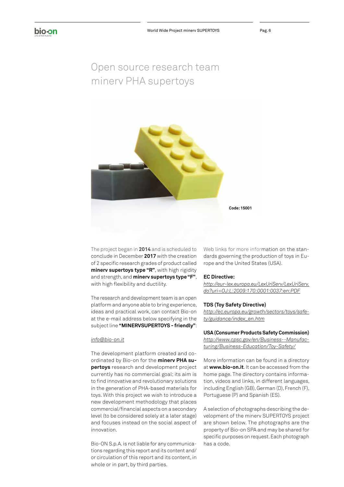## Open source research team minerv PHA supertoys



The project began in **2014** and is scheduled to conclude in December **2017** with the creation of 2 specific research grades of product called **minerv supertoys type "R"**, with high rigidity and strength, and **minerv supertoys type "F"**, with high flexibility and ductility.

The research and development team is an open platform and anyone able to bring experience, ideas and practical work, can contact Bio-on at the e-mail address below specifying in the subject line **"MINERVSUPERTOYS - friendly"**:

#### *info@bio-on.it*

The development platform created and coordinated by Bio-on for the **minerv PHA supertoys** research and development project currently has no commercial goal; its aim is to find innovative and revolutionary solutions in the generation of PHA-based materials for toys. With this project we wish to introduce a new development methodology that places commercial/financial aspects on a secondary level (to be considered solely at a later stage) and focuses instead on the social aspect of innovation.

Bio-ON S.p.A. is not liable for any communications regarding this report and its content and/ or circulation of this report and its content, in whole or in part, by third parties.

Web links for more information on the standards governing the production of toys in Europe and the United States (USA).

#### **EC Directive:**

*http://eur-lex.europa.eu/LexUriServ/LexUriServ. do?uri=OJ:L:2009:170:0001:0037:en:PDF*

#### **TDS (Toy Safety Directive)**

*http://ec.europa.eu/growth/sectors/toys/safety/guidance/index\_en.htm*

**USA (Consumer Products Safety Commission)** *http://www.cpsc.gov/en/Business--Manufacturing/Business-Education/Toy-Safety/*

More information can be found in a directory at **www.bio-on.it**. It can be accessed from the home page. The directory contains information, videos and links, in different languages, including English (GB), German (D), French (F), Portuguese (P) and Spanish (ES).

A selection of photographs describing the development of the minerv SUPERTOYS project are shown below. The photographs are the property of Bio-on SPA and may be shared for specific purposes on request. Each photograph has a code.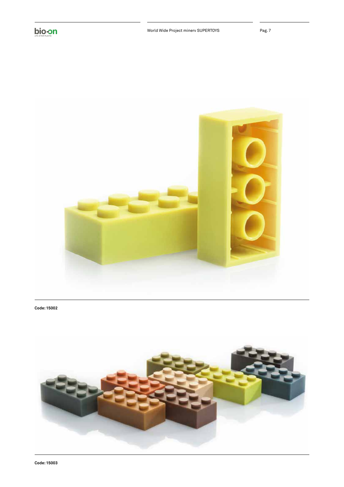



**Code: 15002**

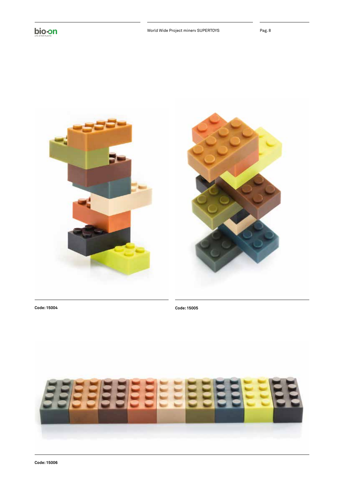



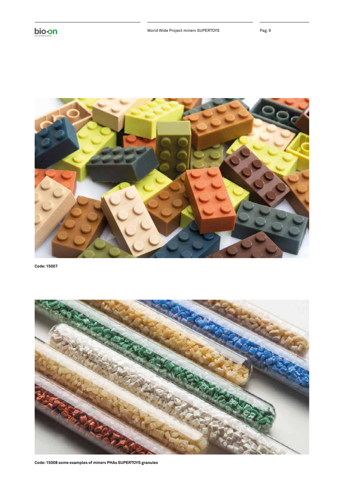

**Code: 15007**

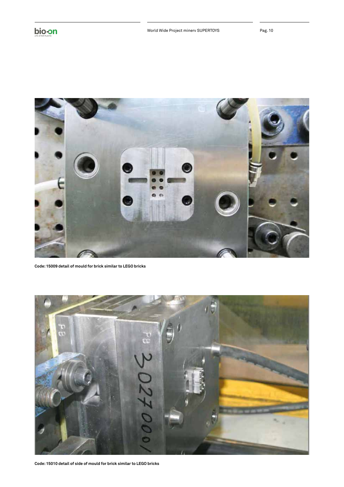

**Code: 15009 detail of mould for brick similar to LEGO bricks**



**Code: 15010 detail of side of mould for brick similar to LEGO bricks**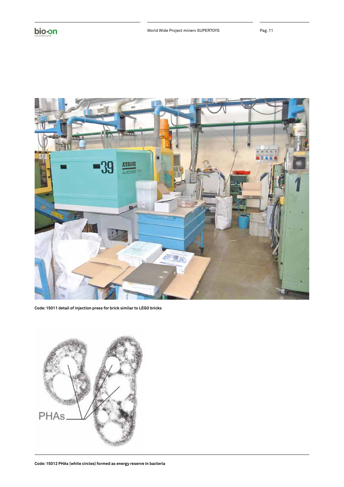

**Code: 15011 detail of injection press for brick similar to LEGO bricks**